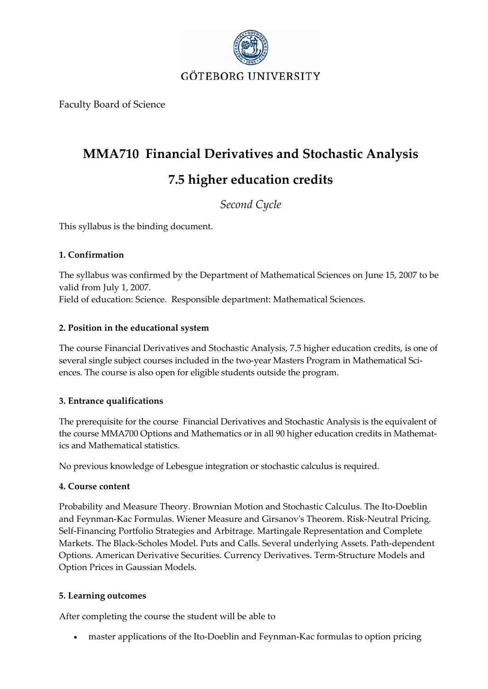

Faculty Board of Science

# **MMA710 Financial Derivatives and Stochastic Analysis 7.5 higher education credits**

*Second Cycle*

This syllabus is the binding document.

# **1. Confirmation**

The syllabus was confirmed by the Department of Mathematical Sciences on June 15, 2007 to be valid from July 1, 2007. Field of education: Science. Responsible department: Mathematical Sciences.

# **2. Position in the educational system**

The course Financial Derivatives and Stochastic Analysis, 7.5 higher education credits, is one of several single subject courses included in the two-year Masters Program in Mathematical Sciences. The course is also open for eligible students outside the program.

# **3. Entrance qualifications**

The prerequisite for the course Financial Derivatives and Stochastic Analysis is the equivalent of the course MMA700 Options and Mathematics or in all 90 higher education credits in Mathematics and Mathematical statistics.

No previous knowledge of Lebesgue integration or stochastic calculus is required.

### **4. Course content**

Probability and Measure Theory. Brownian Motion and Stochastic Calculus. The Ito‐Doeblin and Feynman‐Kac Formulas. Wiener Measure and Girsanovʹs Theorem. Risk‐Neutral Pricing. Self‐Financing Portfolio Strategies and Arbitrage. Martingale Representation and Complete Markets. The Black‐Scholes Model. Puts and Calls. Several underlying Assets. Path‐dependent Options. American Derivative Securities. Currency Derivatives. Term‐Structure Models and Option Prices in Gaussian Models.

### **5. Learning outcomes**

After completing the course the student will be able to

• master applications of the Ito-Doeblin and Feynman-Kac formulas to option pricing